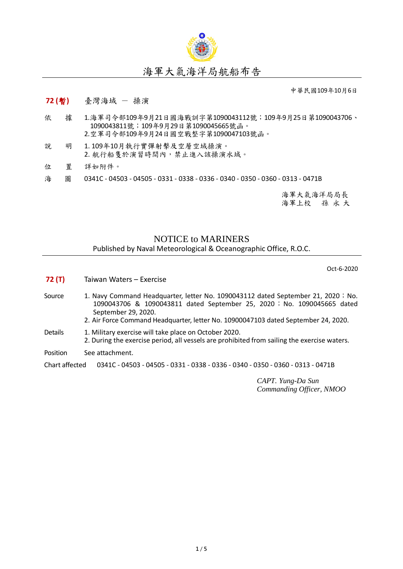

中華民國109年10月6日

## **72 (**暫**)** 臺灣海域 - 操演

- 依 據 1.海軍司令部109年9月21日國海戰訓字第1090043112號;109年9月25日第1090043706、 1090043811號;109年9月29日第1090045665號函。 2.空軍司令部109年9月24日國空戰整字第1090047103號函。
- 說 明 1. 109年10月執行實彈射擊及空層空域操演。 2. 航行船隻於演習時間內,禁止進入該操演水域。
- 位 置 詳如附件。
- 海 圖 0341C 04503 04505 0331 0338 0336 0340 0350 0360 0313 0471B

海軍大氣海洋局局長 海軍上校 孫 永 大

## NOTICE to MARINERS

Published by Naval Meteorological & Oceanographic Office, R.O.C.

Oct-6-2020

| 72 (T)                      | Taiwan Waters - Exercise                                                                                                                                                                                                                                                |  |
|-----------------------------|-------------------------------------------------------------------------------------------------------------------------------------------------------------------------------------------------------------------------------------------------------------------------|--|
| Source                      | 1. Navy Command Headquarter, letter No. 1090043112 dated September 21, 2020; No.<br>1090043706 & 1090043811 dated September 25, 2020; No. 1090045665 dated<br>September 29, 2020.<br>2. Air Force Command Headquarter, letter No. 10900047103 dated September 24, 2020. |  |
| <b>Details</b>              | 1. Military exercise will take place on October 2020.<br>2. During the exercise period, all vessels are prohibited from sailing the exercise waters.                                                                                                                    |  |
| Position<br>See attachment. |                                                                                                                                                                                                                                                                         |  |
| Chart affected              | 0341C - 04503 - 04505 - 0331 - 0338 - 0336 - 0340 - 0350 - 0360 - 0313 - 0471B                                                                                                                                                                                          |  |

*CAPT. Yung-Da Sun Commanding Officer, NMOO*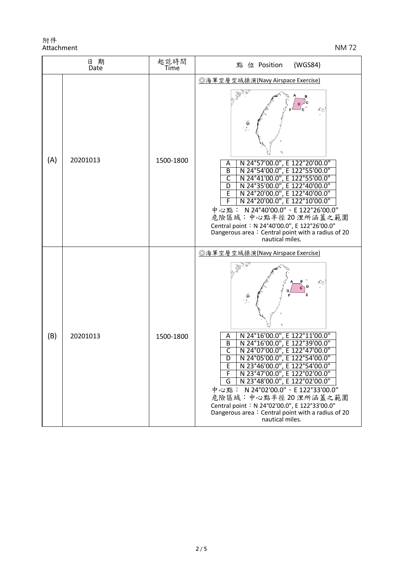| 日期<br>Date |          | 起訖時間<br>Time | (WGS84)<br>點 位 Position                                                                                                                                                                                                                                                                                                                                                                                                                                                                              |
|------------|----------|--------------|------------------------------------------------------------------------------------------------------------------------------------------------------------------------------------------------------------------------------------------------------------------------------------------------------------------------------------------------------------------------------------------------------------------------------------------------------------------------------------------------------|
| (A)        | 20201013 | 1500-1800    | ◎海軍空層空域操演(Navy Airspace Exercise)<br>Đ,<br>N 24°57'00.0", E 122°20'00.0"<br>A<br>$\overline{B}$<br>N 24°54'00.0", E 122°55'00.0"<br>$\overline{\mathsf{C}}$<br>N 24°41'00.0", E 122°55'00.0"<br>N 24°35'00.0", E 122°40'00.0"<br>D<br>N 24°20'00.0", E 122°40'00.0"<br>E<br>N 24°20'00.0", E 122°10'00.0"<br>F<br>中心點: N 24°40'00.0"、E 122°26'00.0"<br>危險區域:中心點半徑20浬所涵蓋之範圍<br>Central point: N 24°40'00.0", E 122°26'00.0"<br>Dangerous area: Central point with a radius of 20<br>nautical miles.   |
| (B)        | 20201013 | 1500-1800    | ◎海軍空層空域操演(Navy Airspace Exercise)<br>N 24°16'00.0", E 122°11'00.0"<br>N 24°16'00.0", E 122°39'00.0"<br>Α<br>B<br>N 24°07'00.0", E 122°47'00.0"<br>C<br>N 24°05'00.0". E 122°54'00.0"<br>D<br>N 23°46'00.0", E 122°54'00.0"<br>E<br>N 23°47'00.0", E 122°02'00.0"<br>F<br>N 23°48'00.0", E 122°02'00.0"<br>G<br>N 24°02'00.0" \ E 122°33'00.0"<br>中心點:<br>危險區域:中心點半徑20浬所涵蓋之範圍<br>Central point: N 24°02'00.0", E 122°33'00.0"<br>Dangerous area: Central point with a radius of 20<br>nautical miles. |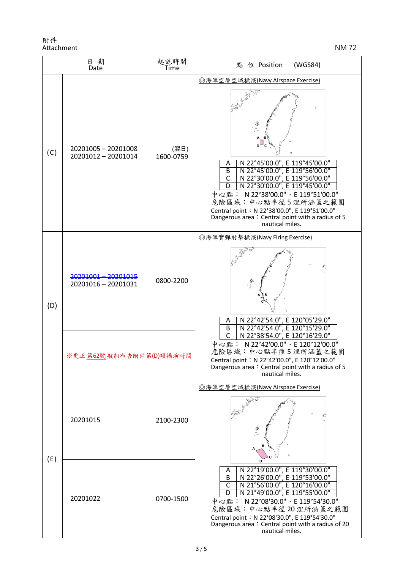| 日期<br>Date |                                                                     | 起訖時間<br>Time      | (WGS84)<br>點 位 Position                                                                                                                                                                                                                                                                                                                                                                |
|------------|---------------------------------------------------------------------|-------------------|----------------------------------------------------------------------------------------------------------------------------------------------------------------------------------------------------------------------------------------------------------------------------------------------------------------------------------------------------------------------------------------|
| (C)        | 20201005 - 20201008<br>20201012 - 20201014                          | (翌日)<br>1600-0759 | ◎海軍空層空域操演(Navy Airspace Exercise)<br>N 22°45'00.0", E 119°45'00.0"<br>A<br>N 22°45'00.0", E 119°56'00.0"<br>B<br>N 22°30'00.0", E 119°56'00.0"<br>$\mathsf{C}$<br>N 22°30'00.0", E 119°45'00.0"<br>D<br>中心點: N 22°38'00.0"、E 119°51'00.0"<br>危險區域:中心點半徑5浬所涵蓋之範圍<br>Central point: N 22°38'00.0", E 119°51'00.0"<br>Dangerous area: Central point with a radius of 5<br>nautical miles. |
| (D)        | 20201001-20201015<br>20201016 - 20201031<br>※更正 第62號航船布告附件第(D)項操演時間 | 0800-2200         | ◎海軍實彈射擊操演(Navy Firing Exercise)<br>N 22°42'54.0", E 120°05'29.0"<br>Α<br>N 22°42'54.0", E 120°15'29.0"<br>N 22°38'54.0", E 120°16'29.0"<br>B<br>$\overline{\mathsf{C}}$<br>中心點: N 22°42'00.0"、E 120°12'00.0"<br>危險區域:中心點半徑5浬所涵蓋之範圍<br>Central point: N 22°42'00.0", E 120°12'00.0"                                                                                                     |
| (E)        | 20201015                                                            | 2100-2300         | Dangerous area: Central point with a radius of 5<br>nautical miles.<br>◎海軍空層空域操演(Navy Airspace Exercise)                                                                                                                                                                                                                                                                               |
|            | 20201022                                                            | 0700-1500         | N 22°19'00.0", E 119°30'00.0"<br>N 22°26'00.0", E 119°53'00.0"<br>N 21°56'00.0", E 120°16'00.0"<br>N 21°49'00.0", E 119°55'00.0"<br>Α<br>B<br>$\overline{\mathsf{C}}$<br>D<br>中心點: N 22°08'30.0"、E 119°54'30.0"<br>危險區域:中心點半徑20浬所涵蓋之範圍<br>Central point: N 22°08'30.0", E 119°54'30.0"<br>Dangerous area: Central point with a radius of 20<br>nautical miles.                         |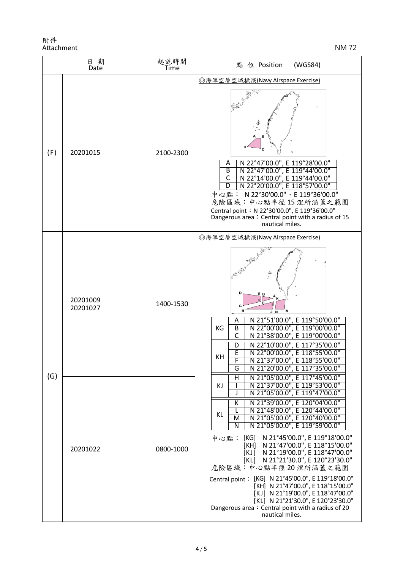| 日期<br>Date |                      | 起訖時間<br>Time | 點 位 Position<br>(WGS84)                                                                                                                                                                                                                                                                                                                                                                                                                                                                                                                                                                                                                                                                                           |
|------------|----------------------|--------------|-------------------------------------------------------------------------------------------------------------------------------------------------------------------------------------------------------------------------------------------------------------------------------------------------------------------------------------------------------------------------------------------------------------------------------------------------------------------------------------------------------------------------------------------------------------------------------------------------------------------------------------------------------------------------------------------------------------------|
| (F)        | 20201015             | 2100-2300    | ◎海軍空層空域操演(Navy Airspace Exercise)<br>N 22°47'00.0", E 119°28'00.0"<br>A<br>В<br>N 22°47'00.0", E 119°44'00.0"<br>C<br>N 22°14'00.0", E 119°44'00.0"<br>D<br>N 22°20'00.0", E 118°57'00.0"<br>中心點: N 22°30'00.0"、E 119°36'00.0"<br>危險區域:中心點半徑15浬所涵蓋之範圍<br>Central point: N 22°30'00.0", E 119°36'00.0"<br>Dangerous area: Central point with a radius of 15<br>nautical miles.                                                                                                                                                                                                                                                                                                                                     |
|            | 20201009<br>20201027 | 1400-1530    | ◎海軍空層空域操演(Navy Airspace Exercise)<br>D<br>Е<br>G<br>н<br>M<br>J N<br>N 21°51'00.0", E 119°50'00.0"<br>Α<br>N 22°00'00.0", E 119°00'00.0"<br>KG<br>B<br>N 21°38'00.0", E 119°00'00.0"<br>C<br>N 22°10'00.0", E 117°35'00.0"<br>D<br>E<br>N 22°00'00.0", E 118°55'00.0"<br>KH<br>F<br>N 21°37'00.0", E 118°55'00.0'<br>G<br>N 21°20'00.0", E 117°35'00.0"                                                                                                                                                                                                                                                                                                                                                           |
| (G)        | 20201022             | 0800-1000    | N 21°05'00.0", E 117°45'00.0"<br>н<br>N 21°37'00.0", E 119°53'00.0"<br>KJ<br>N 21°05'00.0", E 119°47'00.0"<br>N 21°39'00.0", E 120°04'00.0"<br>К<br>N 21°48'00.0", E 120°44'00.0"<br>L<br>KL<br>N 21°05'00.0", E 120°40'00.0"<br>M<br>N 21°05'00.0", E 119°59'00.0"<br>N<br>N 21°45'00.0", E 119°18'00.0"<br>中心點:<br>[KG]<br>[KH] N 21°47'00.0", E 118°15'00.0"<br>[KJ] N 21°19'00.0", E 118°47'00.0"<br>[KL] N 21°21'30.0", E 120°23'30.0"<br>危險區域:中心點半徑20浬所涵蓋之範圍<br>Central point: [KG] N 21°45'00.0", E 119°18'00.0"<br>[KH] N 21°47'00.0", E 118°15'00.0"<br>[KJ] N 21°19'00.0", E 118°47'00.0"<br>[KL] N 21°21'30.0", E 120°23'30.0"<br>Dangerous area: Central point with a radius of 20<br>nautical miles. |